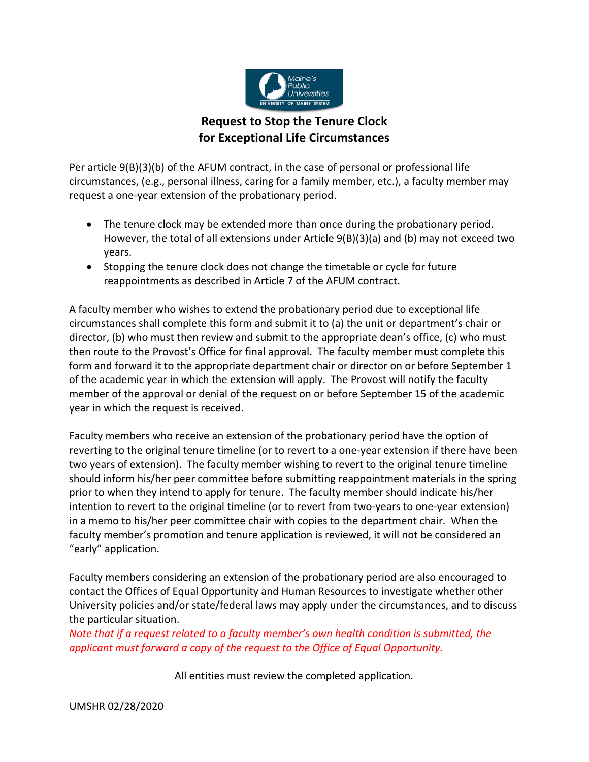

## **Request to Stop the Tenure Clock for Exceptional Life Circumstances**

Per article 9(B)(3)(b) of the AFUM contract, in the case of personal or professional life circumstances, (e.g., personal illness, caring for a family member, etc.), a faculty member may request a one‐year extension of the probationary period.

- The tenure clock may be extended more than once during the probationary period. However, the total of all extensions under Article 9(B)(3)(a) and (b) may not exceed two years.
- Stopping the tenure clock does not change the timetable or cycle for future reappointments as described in Article 7 of the AFUM contract.

A faculty member who wishes to extend the probationary period due to exceptional life circumstances shall complete this form and submit it to (a) the unit or department's chair or director, (b) who must then review and submit to the appropriate dean's office, (c) who must then route to the Provost's Office for final approval. The faculty member must complete this form and forward it to the appropriate department chair or director on or before September 1 of the academic year in which the extension will apply. The Provost will notify the faculty member of the approval or denial of the request on or before September 15 of the academic year in which the request is received.

Faculty members who receive an extension of the probationary period have the option of reverting to the original tenure timeline (or to revert to a one‐year extension if there have been two years of extension). The faculty member wishing to revert to the original tenure timeline should inform his/her peer committee before submitting reappointment materials in the spring prior to when they intend to apply for tenure. The faculty member should indicate his/her intention to revert to the original timeline (or to revert from two-years to one-year extension) in a memo to his/her peer committee chair with copies to the department chair. When the faculty member's promotion and tenure application is reviewed, it will not be considered an "early" application.

Faculty members considering an extension of the probationary period are also encouraged to contact the Offices of Equal Opportunity and Human Resources to investigate whether other University policies and/or state/federal laws may apply under the circumstances, and to discuss the particular situation.

*Note that if a request related to a faculty member's own health condition is submitted, the applicant must forward a copy of the request to the Office of Equal Opportunity.*

All entities must review the completed application.